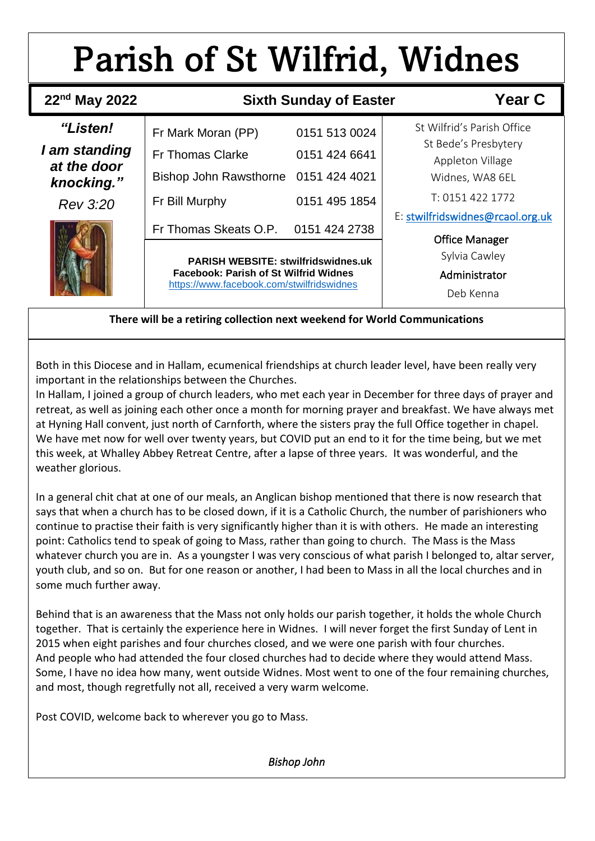# Parish of St Wilfrid, Widnes

 **`**

| $22nd$ May 2022                            | <b>Sixth Sunday of Easter</b>                                                                                                           | <b>Year C</b> |                                                             |
|--------------------------------------------|-----------------------------------------------------------------------------------------------------------------------------------------|---------------|-------------------------------------------------------------|
| <i>"Listen!</i>                            | Fr Mark Moran (PP)                                                                                                                      | 0151 513 0024 | St Wilfrid's Parish Office                                  |
| I am standing<br>at the door<br>knocking." | <b>Fr Thomas Clarke</b>                                                                                                                 | 0151 424 6641 | St Bede's Presbytery<br>Appleton Village<br>Widnes, WA8 6EL |
|                                            | Bishop John Rawsthorne 0151 424 4021                                                                                                    |               |                                                             |
| Rev 3:20                                   | Fr Bill Murphy                                                                                                                          | 0151 495 1854 | T: 0151 422 1772                                            |
|                                            | Fr Thomas Skeats O.P.                                                                                                                   | 0151 424 2738 | E: stwilfridswidnes@rcaol.org.uk<br><b>Office Manager</b>   |
|                                            | <b>PARISH WEBSITE: stwilfridswidnes.uk</b><br><b>Facebook: Parish of St Wilfrid Widnes</b><br>https://www.facebook.com/stwilfridswidnes |               | Sylvia Cawley                                               |
|                                            |                                                                                                                                         |               | Administrator                                               |
|                                            |                                                                                                                                         |               | Deb Kenna                                                   |

#### **There will be a retiring collection next weekend for World Communications**

Both in this Diocese and in Hallam, ecumenical friendships at church leader level, have been really very important in the relationships between the Churches.

In Hallam, I joined a group of church leaders, who met each year in December for three days of prayer and retreat, as well as joining each other once a month for morning prayer and breakfast. We have always met at Hyning Hall convent, just north of Carnforth, where the sisters pray the full Office together in chapel. We have met now for well over twenty years, but COVID put an end to it for the time being, but we met this week, at Whalley Abbey Retreat Centre, after a lapse of three years. It was wonderful, and the weather glorious.

In a general chit chat at one of our meals, an Anglican bishop mentioned that there is now research that says that when a church has to be closed down, if it is a Catholic Church, the number of parishioners who continue to practise their faith is very significantly higher than it is with others. He made an interesting point: Catholics tend to speak of going to Mass, rather than going to church. The Mass is the Mass whatever church you are in. As a youngster I was very conscious of what parish I belonged to, altar server, youth club, and so on. But for one reason or another, I had been to Mass in all the local churches and in some much further away.

Behind that is an awareness that the Mass not only holds our parish together, it holds the whole Church together. That is certainly the experience here in Widnes. I will never forget the first Sunday of Lent in 2015 when eight parishes and four churches closed, and we were one parish with four churches. And people who had attended the four closed churches had to decide where they would attend Mass. Some, I have no idea how many, went outside Widnes. Most went to one of the four remaining churches, and most, though regretfully not all, received a very warm welcome.

Post COVID, welcome back to wherever you go to Mass.

*Bishop John*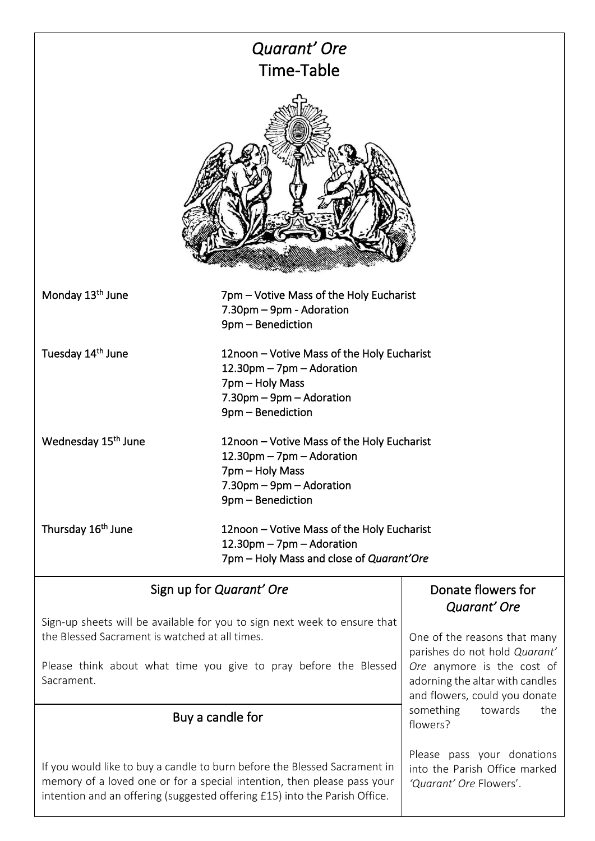| Quarant' Ore<br>Time-Table                                                                                                                                                                                                         |                                                                                                                                                               |                                                               |  |  |  |  |
|------------------------------------------------------------------------------------------------------------------------------------------------------------------------------------------------------------------------------------|---------------------------------------------------------------------------------------------------------------------------------------------------------------|---------------------------------------------------------------|--|--|--|--|
|                                                                                                                                                                                                                                    |                                                                                                                                                               |                                                               |  |  |  |  |
| Monday 13 <sup>th</sup> June                                                                                                                                                                                                       | 7pm – Votive Mass of the Holy Eucharist<br>7.30pm - 9pm - Adoration<br>9pm - Benediction                                                                      |                                                               |  |  |  |  |
| Tuesday 14 <sup>th</sup> June<br>12noon - Votive Mass of the Holy Eucharist<br>12.30pm - 7pm - Adoration<br>7pm - Holy Mass<br>7.30pm - 9pm - Adoration<br>9pm - Benediction                                                       |                                                                                                                                                               |                                                               |  |  |  |  |
| Wednesday 15 <sup>th</sup> June                                                                                                                                                                                                    | 12noon - Votive Mass of the Holy Eucharist<br>$12.30 \text{pm} - 7 \text{pm} -$ Adoration<br>7pm – Holy Mass<br>7.30pm - 9pm - Adoration<br>9pm - Benediction |                                                               |  |  |  |  |
| Thursday 16 <sup>th</sup> June                                                                                                                                                                                                     | 12noon – Votive Mass of the Holy Eucharist<br>12.30pm - 7pm - Adoration<br>7pm – Holy Mass and close of Quarant'Ore                                           |                                                               |  |  |  |  |
|                                                                                                                                                                                                                                    | Sign up for Quarant' Ore                                                                                                                                      | Donate flowers for<br>Quarant' Ore                            |  |  |  |  |
| Sign-up sheets will be available for you to sign next week to ensure that<br>the Blessed Sacrament is watched at all times.                                                                                                        |                                                                                                                                                               | One of the reasons that many<br>parishes do not hold Quarant' |  |  |  |  |
| Please think about what time you give to pray before the Blessed<br>Sacrament.                                                                                                                                                     | Ore anymore is the cost of<br>adorning the altar with candles<br>and flowers, could you donate                                                                |                                                               |  |  |  |  |
| Buy a candle for                                                                                                                                                                                                                   |                                                                                                                                                               | something<br>towards<br>the<br>flowers?                       |  |  |  |  |
| If you would like to buy a candle to burn before the Blessed Sacrament in<br>memory of a loved one or for a special intention, then please pass your<br>intention and an offering (suggested offering £15) into the Parish Office. | Please pass your donations<br>into the Parish Office marked<br>'Quarant' Ore Flowers'.                                                                        |                                                               |  |  |  |  |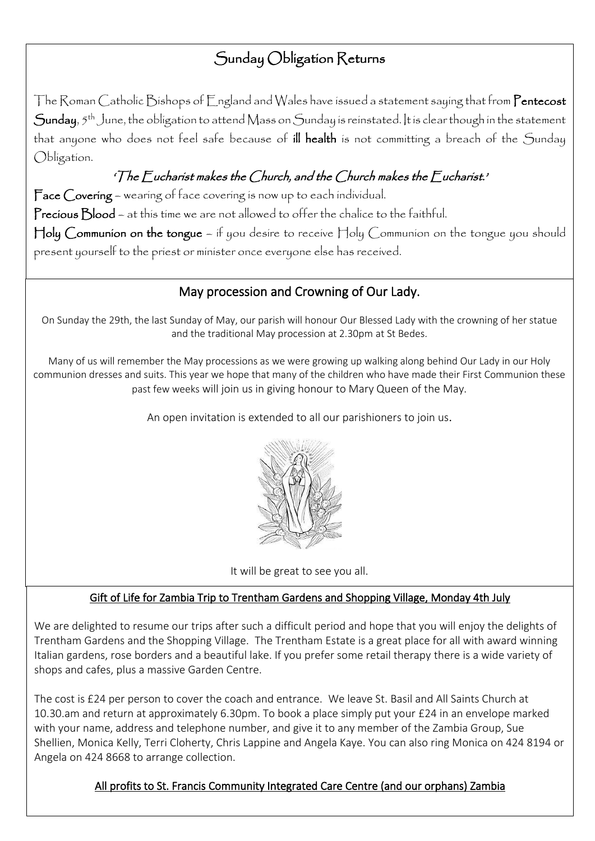## Sunday Obligation Returns

The Roman Catholic Bishops of England and Wales have issued a statement saying that from Pentecost Sunday,  $5^{th}$  June, the obligation to attend Mass on Sunday is reinstated. It is clear though in the statement that anyone who does not feel safe because of ill health is not committing a breach of the Sunday Obligation.

## 'The Eucharist makes the Church, and the Church makes the Eucharist.'

Face Covering - wearing of face covering is now up to each individual. Precious Blood – at this time we are not allowed to offer the chalice to the faithful. Holy Communion on the tongue – if you desire to receive Holy Communion on the tongue you should present yourself to the priest or minister once everyone else has received.

## May procession and Crowning of Our Lady.

On Sunday the 29th, the last Sunday of May, our parish will honour Our Blessed Lady with the crowning of her statue and the traditional May procession at 2.30pm at St Bedes.

Many of us will remember the May processions as we were growing up walking along behind Our Lady in our Holy communion dresses and suits. This year we hope that many of the children who have made their First Communion these past few weeks will join us in giving honour to Mary Queen of the May.

An open invitation is extended to all our parishioners to join us.



It will be great to see you all.

### Gift of Life for Zambia Trip to Trentham Gardens and Shopping Village, Monday 4th July

We are delighted to resume our trips after such a difficult period and hope that you will enjoy the delights of Trentham Gardens and the Shopping Village. The Trentham Estate is a great place for all with award winning Italian gardens, rose borders and a beautiful lake. If you prefer some retail therapy there is a wide variety of shops and cafes, plus a massive Garden Centre.

The cost is £24 per person to cover the coach and entrance. We leave St. Basil and All Saints Church at 10.30.am and return at approximately 6.30pm. To book a place simply put your £24 in an envelope marked with your name, address and telephone number, and give it to any member of the Zambia Group, Sue Shellien, Monica Kelly, Terri Cloherty, Chris Lappine and Angela Kaye. You can also ring Monica on 424 8194 or Angela on 424 8668 to arrange collection.

## All profits to St. Francis Community Integrated Care Centre (and our orphans) Zambia